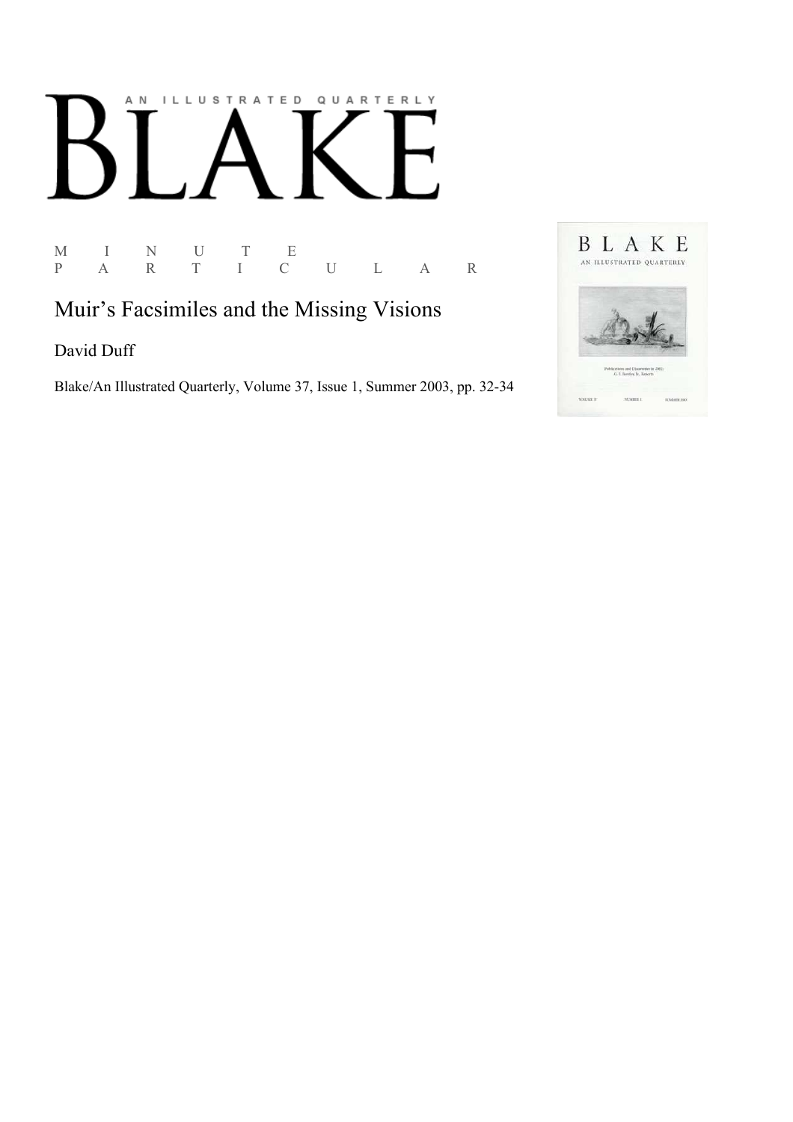# AN ILLUSTRATED QUARTERLY

M I N U T E<br>P A R T I C P A R T I C U L A R

# Muir's Facsimiles and the Missing Visions

David Duff

Blake/An Illustrated Quarterly, Volume 37, Issue 1, Summer 2003, pp. 32-34

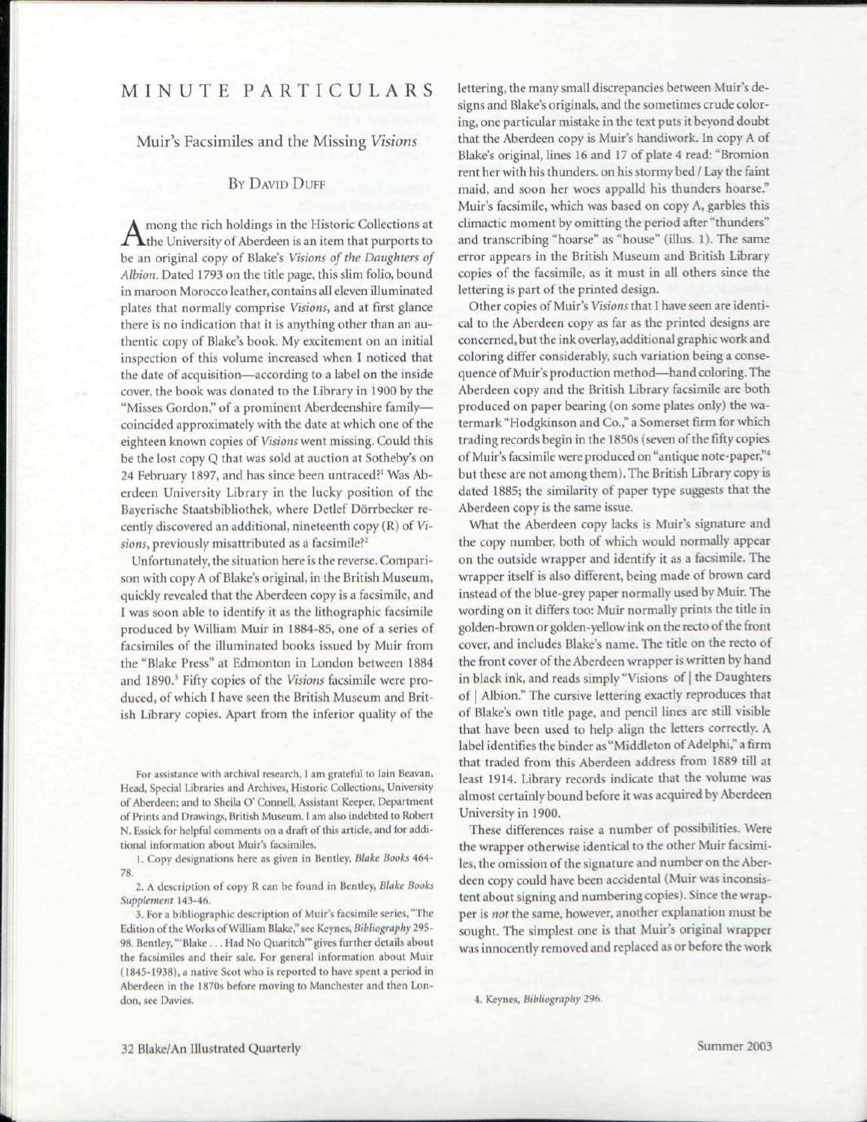# MINUT E PARTICULAR S

Muir's Facsimiles and the Missing *Visions* 

## BY DAVID DUFF

A mong the rich holdings in the Historic Collections at<br>the University of Aberdeen is an item that purports to mong the rich holdings in the Historic Collections at be an original copy of Blake's *Visions of the Daughters of Albion.* Dated 1793 on the title page, this slim folio, bound in maroon Morocco leather, contains all eleven illuminated plates that normally comprise Visions, and at first glance there is no indication that it is anything other than an authentic copy of Blake's book. My excitement on an initial inspection of this volume increased when I noticed that the date of acquisition—according to a label on the inside cover, the book was donated to the Library in 1900 by the "Misses Gordon," of a prominent Aberdeenshire family coincided approximately with the date at which one of the eighteen known copies of *Visions* went missing. Could this be the lost copy Q that was sold at auction at Sotheby's on 24 February 1897, and has since been untraced?<sup>1</sup> Was Aberdeen University Library in the lucky position of the Bayerische Staatsbibliothek, where Detlef Dorrbecker recently discovered an additional, nineteenth copy (R) of *Vi*sions, previously misattributed as a facsimile?<sup>2</sup>

Unfortunately, the situation here is the reverse. Comparison with copy A of Blake's original, in the British Museum, quickly revealed that the Aberdeen copy is a facsimile, and I was soon able to identify it as the lithographic facsimile produced by William Muir in 1884-85, one of a series of facsimiles of the illuminated books issued by Muir from the "Blake Press" at Edmonton in London between 1884 and 1890.' Fifty copies of the *Visions* facsimile were produced, of which I have seen the British Museum and British Library copies. Apart from the inferior quality of the

For assistance with archival research, I am grateful to Iain Beavan, Head, Special Libraries and Archives, Historic Collections, University of Aberdeen; and to Sheila O' Connell, Assistant Keeper, Department of Prints and Drawings, British Museum. I am also indebted to Robert N. Essick for helpful comments on a draft of this article, and for additional information about Muir's facsimiles.

1. Copy designations here as given in Bentley, *Blake Books* 464- 78.

2. A description of copy R can be found in Bentley, *Blake Books Supplement* 143-46.

3. For a bibliographic description of Muir's facsimile series, "The Edition of the Works of William Blake," see Keynes, *Bibliography* 295-98. Bentley, "'Blake ... Had No Quaritch'" gives further details about the facsimiles and their sale. For general information about Muir (1845-1938), a native Scot who is reported to have spent a period in Aberdeen in the 1870s before moving to Manchester and then London, see Davies.

lettering, the many small discrepancies between Muir's designs and Blake's originals, and the sometimes crude coloring, one particular mistake in the text puts it beyond doubt that the Aberdeen copy is Muir's handiwork. In copy A of Blake's original, lines 16 and 17 of plate 4 read: "Bromion rent her with his thunders, on his stormy bed / Lay the faint maid, and soon her woes appalld his thunders hoarse." Muir's facsimile, which was based on copy A, garbles this climactic moment by omitting the period after "thunders" and transcribing "hoarse" as "house" (illus. 1). The same error appears in the British Museum and British Library copies of the facsimile, as it must in all others since the lettering is part of the printed design.

Other copies of Muir's *Visions* that I have seen are identical to the Aberdeen copy as far as the printed designs are concerned, but the ink overlay, additional graphic work and coloring differ considerably, such variation being a consequence of Muir's production method—hand coloring. The Aberdeen copy and the British Library facsimile are both produced on paper bearing (on some plates only) the watermark "Hodgkinson and Co.," a Somerset firm for which trading records begin in the 1850s (seven of the fifty copies of Muir's facsimile were produced on "antique note-paper,"<sup>4</sup> but these are not among them). The British Library copy is dated 1885; the similarity of paper type suggests that the Aberdeen copy is the same issue.

What the Aberdeen copy lacks is Muir's signature and the copy number, both of which would normally appear on the outside wrapper and identify it as a facsimile. The wrapper itself is also different, being made of brown card instead of the blue-grey paper normally used by Muir. The wording on it differs too: Muir normally prints the title in golden-brown or golden-yellow ink on the recto of the front cover, and includes Blake's name. The title on the recto of the front cover of the Aberdeen wrapper is written by hand in black ink, and reads simply "Visions of | the Daughters of | Albion." The cursive lettering exactly reproduces that of Blake's own title page, and pencil lines are still visible that have been used to help align the letters correctly. A label identifies the binder as "Middleton of Adelphi," a firm that traded from this Aberdeen address from 1889 till at least 1914. Library records indicate that the volume was almost certainly bound before it was acquired by Aberdeen University in 1900.

These differences raise a number of possibilities. Were the wrapper otherwise identical to the other Muir facsimiles, the omission of the signature and number on the Aberdeen copy could have been accidental (Muir was inconsistent about signing and numbering copies). Since the wrapper is *not* the same, however, another explanation must be sought. The simplest one is that Muir's original wrapper was innocently removed and replaced as or before the work

4. Keynes, *Bibliography* 296.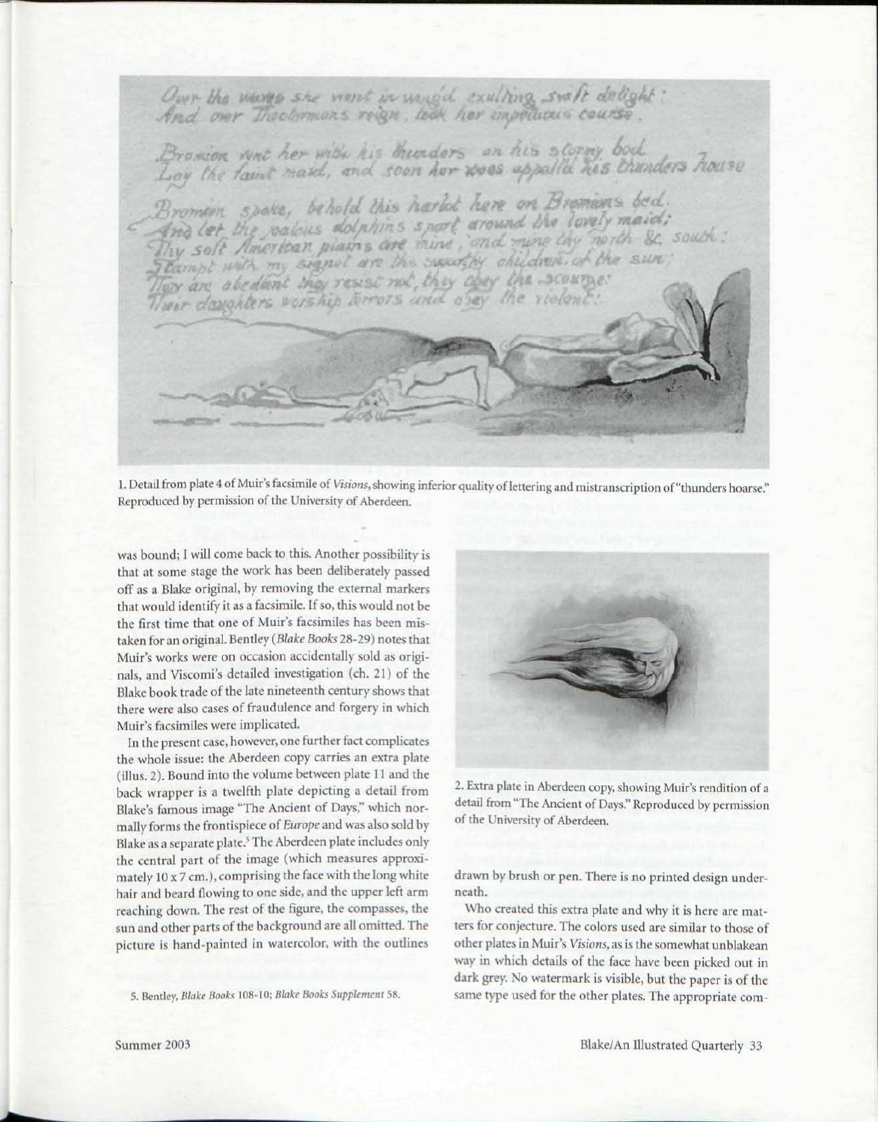Our the weare she went in wought exulting swift delight: *OQvL , Xis tenders M d. \*fx<*  Bromein spoke, behold this harlot here on Bromans bed. /<sup>r</sup> / *around i'-X\* {0Vt\*Y MM\*\*\*/*  The soft American plains are mine, and mine thy with & st *A my signal are the superfly children of the sure*  $\sqrt{2}$  $\frac{1}{\sin\left(\frac{1}{2}\right)}$ \*.

1. Detail from plate 4 of Muir's facsimile of *Visions,* showing inferior quality of lettering and mistranscription of "thunders hoarse; Reproduced by permission of the University of Aberdeen.

was bound; I will come back to this. Another possibility is that at some stage the work has been deliberately passed off as a Blake original, by removing the external markers that would identify it as a facsimile. If so, this would not be the first time that one of Muir's facsimiles has been mistaken for an original. Bentley *(Blake Books* 28-29) notes that Muir's works were on occasion accidentally sold as originals, and Viscomi's detailed investigation (ch. 21) of the Blake book trade of the late nineteenth century shows that there were also cases of fraudulence and forgery in which Muir's facsimiles were implicated.

In the present case, however, one further fact complicates the whole issue: the Aberdeen copy carries an extra plate (illus. 2). Bound into the volume between plate 11 and the back wrapper is a twelfth plate depicting a detail from Blake's famous image "The Ancient of Days," which normally forms the frontispiece *of Europe* and was also sold by Blake as a separate plate.<sup>5</sup> The Aberdeen plate includes only the central part of the image (which measures approximately 10x7 cm.), comprising the face with the long white hair and beard flowing to one side, and the upper left arm reaching down. The rest of the figure, the compasses, the sun and other parts of the background are all omitted. The picture is hand-painted in watercolor, with the outlines



2. Extra plate in Aberdeen copy, showing Muir's rendition of a detail from "The Ancient of Days." Reproduced by permission of the University of Aberdeen.

drawn by brush or pen. There is no printed design underneath.

Who created this extra plate and why it is here are matters for conjecture. The colors used are similar to those of other plates in Muir's *Visions,* as is the somewhat unblakean way in which details of the face have been picked out in dark grey. No watermark is visible, but the paper is of the same type used for the other plates. The appropriate com-

<sup>5.</sup> Bentley, *Blake Books* 108-10; *Blake Books Supplement* 58.